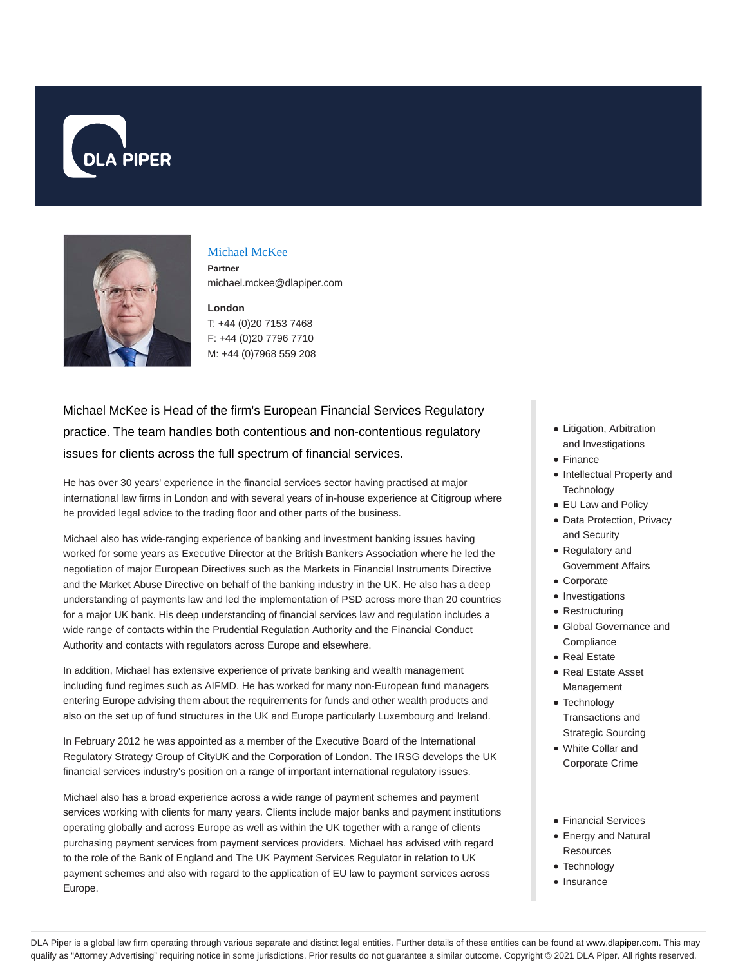



## Michael McKee

**Partner** michael.mckee@dlapiper.com

## **London** T: +44 (0)20 7153 7468

F: +44 (0)20 7796 7710 M: +44 (0)7968 559 208

Michael McKee is Head of the firm's European Financial Services Regulatory practice. The team handles both contentious and non-contentious regulatory issues for clients across the full spectrum of financial services.

He has over 30 years' experience in the financial services sector having practised at major international law firms in London and with several years of in-house experience at Citigroup where he provided legal advice to the trading floor and other parts of the business.

Michael also has wide-ranging experience of banking and investment banking issues having worked for some years as Executive Director at the British Bankers Association where he led the negotiation of major European Directives such as the Markets in Financial Instruments Directive and the Market Abuse Directive on behalf of the banking industry in the UK. He also has a deep understanding of payments law and led the implementation of PSD across more than 20 countries for a major UK bank. His deep understanding of financial services law and regulation includes a wide range of contacts within the Prudential Regulation Authority and the Financial Conduct Authority and contacts with regulators across Europe and elsewhere.

In addition, Michael has extensive experience of private banking and wealth management including fund regimes such as AIFMD. He has worked for many non-European fund managers entering Europe advising them about the requirements for funds and other wealth products and also on the set up of fund structures in the UK and Europe particularly Luxembourg and Ireland.

In February 2012 he was appointed as a member of the Executive Board of the International Regulatory Strategy Group of CityUK and the Corporation of London. The IRSG develops the UK financial services industry's position on a range of important international regulatory issues.

Michael also has a broad experience across a wide range of payment schemes and payment services working with clients for many years. Clients include major banks and payment institutions operating globally and across Europe as well as within the UK together with a range of clients purchasing payment services from payment services providers. Michael has advised with regard to the role of the Bank of England and The UK Payment Services Regulator in relation to UK payment schemes and also with regard to the application of EU law to payment services across Europe.

- Litigation, Arbitration and Investigations
- Finance
- Intellectual Property and **Technology**
- EU Law and Policy
- Data Protection, Privacy and Security
- Regulatory and Government Affairs
- Corporate
- Investigations
- Restructuring
- Global Governance and **Compliance**
- Real Estate
- Real Estate Asset Management
- Technology
- Transactions and Strategic Sourcing
- White Collar and Corporate Crime
- Financial Services
- Energy and Natural **Resources**
- Technology
- Insurance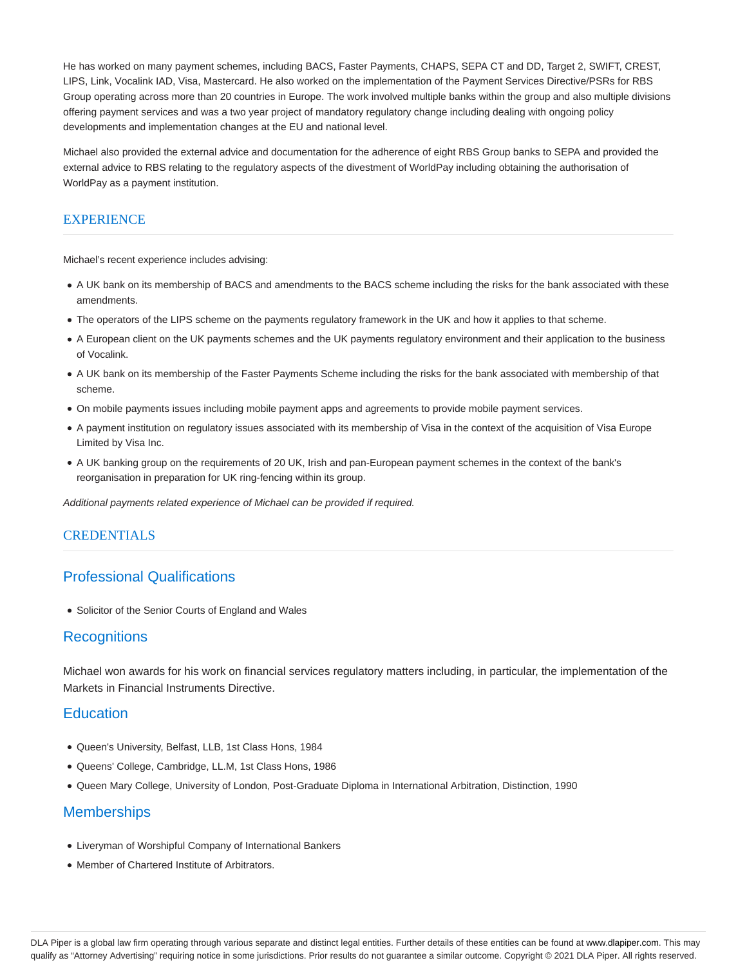He has worked on many payment schemes, including BACS, Faster Payments, CHAPS, SEPA CT and DD, Target 2, SWIFT, CREST, LIPS, Link, Vocalink IAD, Visa, Mastercard. He also worked on the implementation of the Payment Services Directive/PSRs for RBS Group operating across more than 20 countries in Europe. The work involved multiple banks within the group and also multiple divisions offering payment services and was a two year project of mandatory regulatory change including dealing with ongoing policy developments and implementation changes at the EU and national level.

Michael also provided the external advice and documentation for the adherence of eight RBS Group banks to SEPA and provided the external advice to RBS relating to the regulatory aspects of the divestment of WorldPay including obtaining the authorisation of WorldPay as a payment institution.

# **EXPERIENCE**

Michael's recent experience includes advising:

- A UK bank on its membership of BACS and amendments to the BACS scheme including the risks for the bank associated with these amendments.
- The operators of the LIPS scheme on the payments regulatory framework in the UK and how it applies to that scheme.
- A European client on the UK payments schemes and the UK payments regulatory environment and their application to the business of Vocalink.
- A UK bank on its membership of the Faster Payments Scheme including the risks for the bank associated with membership of that scheme.
- On mobile payments issues including mobile payment apps and agreements to provide mobile payment services.
- A payment institution on regulatory issues associated with its membership of Visa in the context of the acquisition of Visa Europe Limited by Visa Inc.
- A UK banking group on the requirements of 20 UK, Irish and pan-European payment schemes in the context of the bank's reorganisation in preparation for UK ring-fencing within its group.

Additional payments related experience of Michael can be provided if required.

## **CREDENTIALS**

# Professional Qualifications

• Solicitor of the Senior Courts of England and Wales

# **Recognitions**

Michael won awards for his work on financial services regulatory matters including, in particular, the implementation of the Markets in Financial Instruments Directive.

## **Education**

- Queen's University, Belfast, LLB, 1st Class Hons, 1984
- Queens' College, Cambridge, LL.M, 1st Class Hons, 1986
- Queen Mary College, University of London, Post-Graduate Diploma in International Arbitration, Distinction, 1990

# **Memberships**

- Liveryman of Worshipful Company of International Bankers
- Member of Chartered Institute of Arbitrators.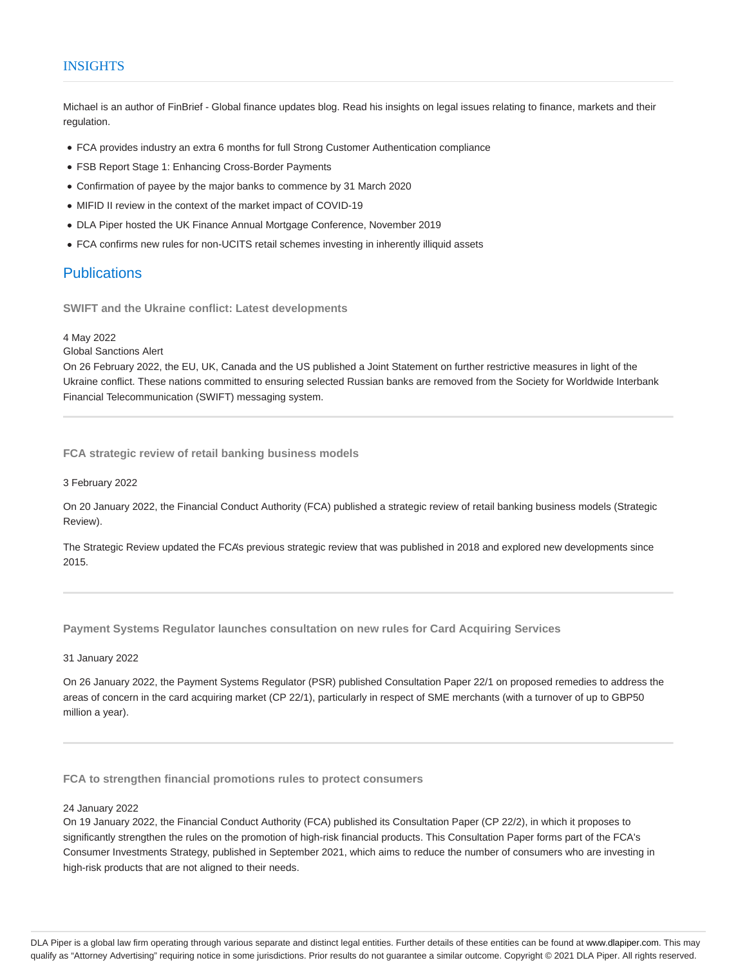## INSIGHTS

Michael is an author of FinBrief - Global finance updates blog. Read his insights on legal issues relating to finance, markets and their regulation.

- FCA provides industry an extra 6 months for full Strong Customer Authentication compliance
- FSB Report Stage 1: Enhancing Cross-Border Payments
- Confirmation of payee by the major banks to commence by 31 March 2020
- MIFID II review in the context of the market impact of COVID-19
- DLA Piper hosted the UK Finance Annual Mortgage Conference, November 2019
- FCA confirms new rules for non-UCITS retail schemes investing in inherently illiquid assets

# **Publications**

**SWIFT and the Ukraine conflict: Latest developments**

#### 4 May 2022

#### Global Sanctions Alert

On 26 February 2022, the EU, UK, Canada and the US published a Joint Statement on further restrictive measures in light of the Ukraine conflict. These nations committed to ensuring selected Russian banks are removed from the Society for Worldwide Interbank Financial Telecommunication (SWIFT) messaging system.

**FCA strategic review of retail banking business models**

3 February 2022

On 20 January 2022, the Financial Conduct Authority (FCA) published a strategic review of retail banking business models (Strategic Review).

The Strategic Review updated the FCA's previous strategic review that was published in 2018 and explored new developments since 2015.

**Payment Systems Regulator launches consultation on new rules for Card Acquiring Services**

31 January 2022

On 26 January 2022, the Payment Systems Regulator (PSR) published Consultation Paper 22/1 on proposed remedies to address the areas of concern in the card acquiring market (CP 22/1), particularly in respect of SME merchants (with a turnover of up to GBP50 million a year).

**FCA to strengthen financial promotions rules to protect consumers**

#### 24 January 2022

On 19 January 2022, the Financial Conduct Authority (FCA) published its Consultation Paper (CP 22/2), in which it proposes to significantly strengthen the rules on the promotion of high-risk financial products. This Consultation Paper forms part of the FCA's Consumer Investments Strategy, published in September 2021, which aims to reduce the number of consumers who are investing in high-risk products that are not aligned to their needs.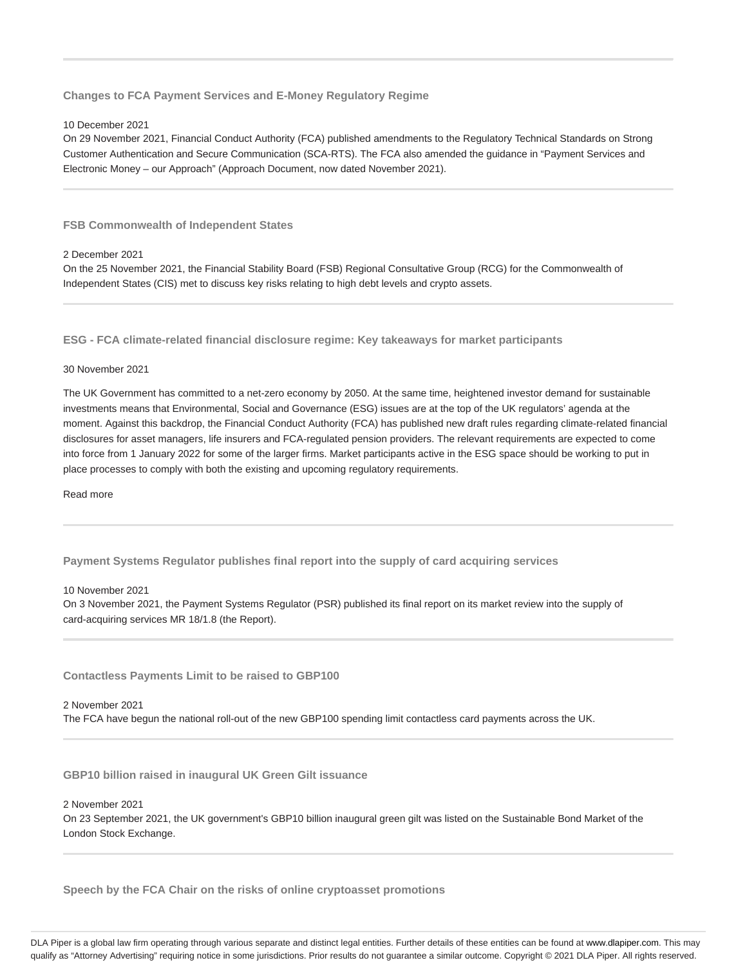**Changes to FCA Payment Services and E-Money Regulatory Regime**

#### 10 December 2021

On 29 November 2021, Financial Conduct Authority (FCA) published amendments to the Regulatory Technical Standards on Strong Customer Authentication and Secure Communication (SCA-RTS). The FCA also amended the guidance in "Payment Services and Electronic Money – our Approach" (Approach Document, now dated November 2021).

**FSB Commonwealth of Independent States**

#### 2 December 2021

On the 25 November 2021, the Financial Stability Board (FSB) Regional Consultative Group (RCG) for the Commonwealth of Independent States (CIS) met to discuss key risks relating to high debt levels and crypto assets.

**ESG - FCA climate-related financial disclosure regime: Key takeaways for market participants**

#### 30 November 2021

The UK Government has committed to a net-zero economy by 2050. At the same time, heightened investor demand for sustainable investments means that Environmental, Social and Governance (ESG) issues are at the top of the UK regulators' agenda at the moment. Against this backdrop, the Financial Conduct Authority (FCA) has published new draft rules regarding climate-related financial disclosures for asset managers, life insurers and FCA-regulated pension providers. The relevant requirements are expected to come into force from 1 January 2022 for some of the larger firms. Market participants active in the ESG space should be working to put in place processes to comply with both the existing and upcoming regulatory requirements.

Read more

**Payment Systems Regulator publishes final report into the supply of card acquiring services**

#### 10 November 2021

On 3 November 2021, the Payment Systems Regulator (PSR) published its final report on its market review into the supply of card-acquiring services MR 18/1.8 (the Report).

**Contactless Payments Limit to be raised to GBP100**

## 2 November 2021

The FCA have begun the national roll-out of the new GBP100 spending limit contactless card payments across the UK.

**GBP10 billion raised in inaugural UK Green Gilt issuance**

2 November 2021

On 23 September 2021, the UK government's GBP10 billion inaugural green gilt was listed on the Sustainable Bond Market of the London Stock Exchange.

**Speech by the FCA Chair on the risks of online cryptoasset promotions**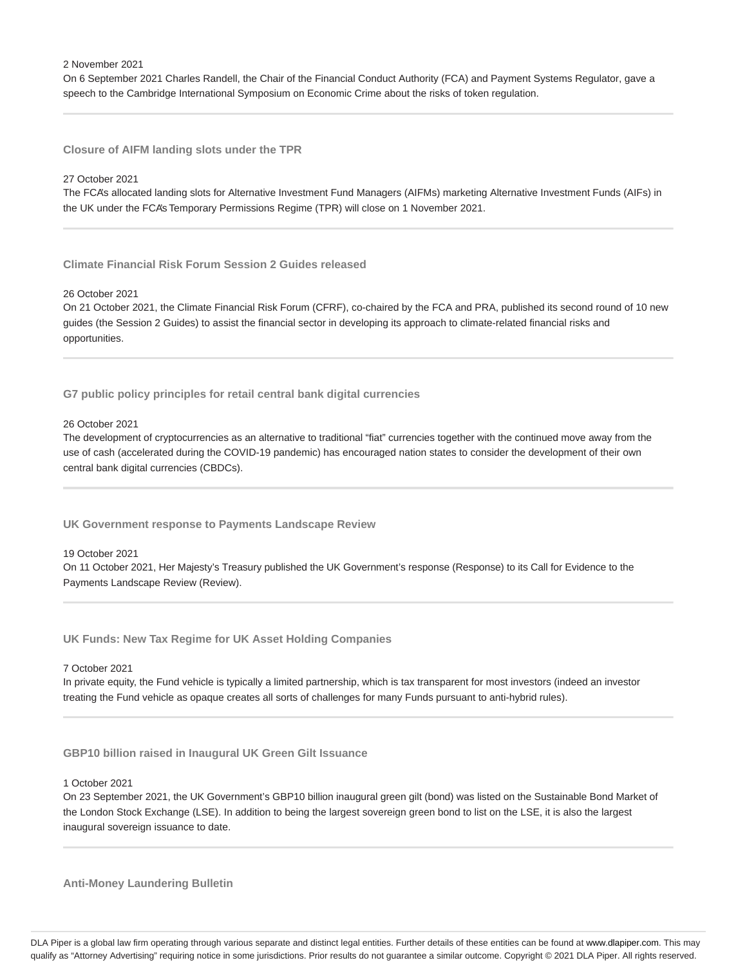2 November 2021

On 6 September 2021 Charles Randell, the Chair of the Financial Conduct Authority (FCA) and Payment Systems Regulator, gave a speech to the Cambridge International Symposium on Economic Crime about the risks of token regulation.

**Closure of AIFM landing slots under the TPR**

#### 27 October 2021

The FCA's allocated landing slots for Alternative Investment Fund Managers (AIFMs) marketing Alternative Investment Funds (AIFs) in the UK under the FCA's Temporary Permissions Regime (TPR) will close on 1 November 2021.

**Climate Financial Risk Forum Session 2 Guides released**

### 26 October 2021

On 21 October 2021, the Climate Financial Risk Forum (CFRF), co-chaired by the FCA and PRA, published its second round of 10 new guides (the Session 2 Guides) to assist the financial sector in developing its approach to climate-related financial risks and opportunities.

**G7 public policy principles for retail central bank digital currencies**

## 26 October 2021

The development of cryptocurrencies as an alternative to traditional "fiat" currencies together with the continued move away from the use of cash (accelerated during the COVID-19 pandemic) has encouraged nation states to consider the development of their own central bank digital currencies (CBDCs).

**UK Government response to Payments Landscape Review**

#### 19 October 2021

On 11 October 2021, Her Majesty's Treasury published the UK Government's response (Response) to its Call for Evidence to the Payments Landscape Review (Review).

**UK Funds: New Tax Regime for UK Asset Holding Companies**

#### 7 October 2021

In private equity, the Fund vehicle is typically a limited partnership, which is tax transparent for most investors (indeed an investor treating the Fund vehicle as opaque creates all sorts of challenges for many Funds pursuant to anti-hybrid rules).

**GBP10 billion raised in Inaugural UK Green Gilt Issuance**

#### 1 October 2021

On 23 September 2021, the UK Government's GBP10 billion inaugural green gilt (bond) was listed on the Sustainable Bond Market of the London Stock Exchange (LSE). In addition to being the largest sovereign green bond to list on the LSE, it is also the largest inaugural sovereign issuance to date.

**Anti-Money Laundering Bulletin**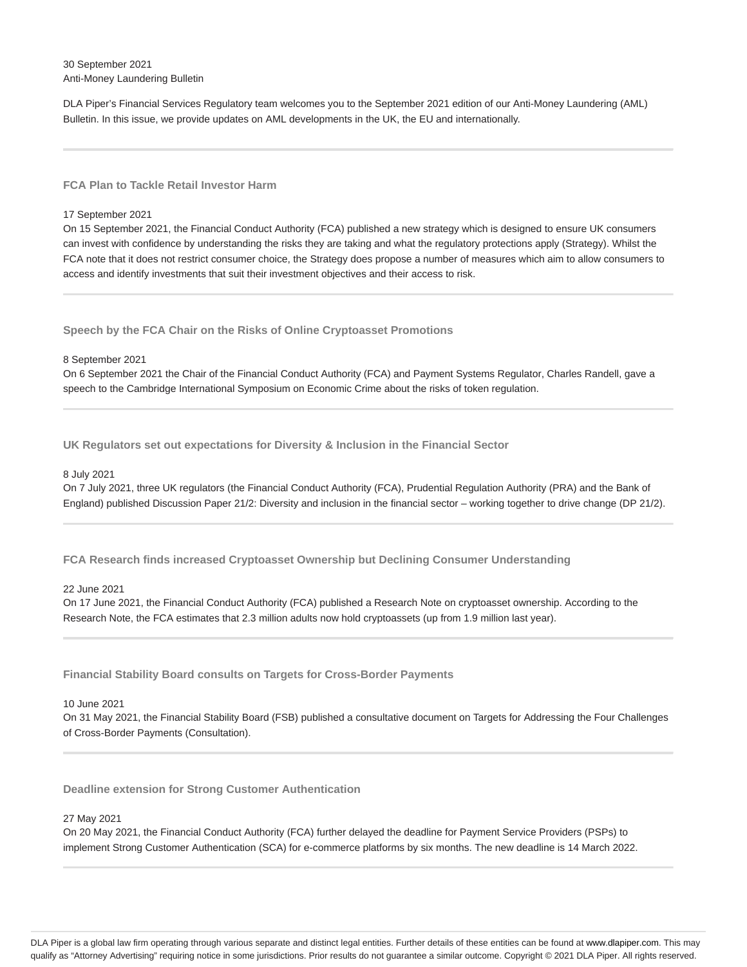30 September 2021 Anti-Money Laundering Bulletin

DLA Piper's Financial Services Regulatory team welcomes you to the September 2021 edition of our Anti-Money Laundering (AML) Bulletin. In this issue, we provide updates on AML developments in the UK, the EU and internationally.

### **FCA Plan to Tackle Retail Investor Harm**

#### 17 September 2021

On 15 September 2021, the Financial Conduct Authority (FCA) published a new strategy which is designed to ensure UK consumers can invest with confidence by understanding the risks they are taking and what the regulatory protections apply (Strategy). Whilst the FCA note that it does not restrict consumer choice, the Strategy does propose a number of measures which aim to allow consumers to access and identify investments that suit their investment objectives and their access to risk.

**Speech by the FCA Chair on the Risks of Online Cryptoasset Promotions**

#### 8 September 2021

On 6 September 2021 the Chair of the Financial Conduct Authority (FCA) and Payment Systems Regulator, Charles Randell, gave a speech to the Cambridge International Symposium on Economic Crime about the risks of token regulation.

**UK Regulators set out expectations for Diversity & Inclusion in the Financial Sector**

#### 8 July 2021

On 7 July 2021, three UK regulators (the Financial Conduct Authority (FCA), Prudential Regulation Authority (PRA) and the Bank of England) published Discussion Paper 21/2: Diversity and inclusion in the financial sector – working together to drive change (DP 21/2).

**FCA Research finds increased Cryptoasset Ownership but Declining Consumer Understanding**

#### 22 June 2021

On 17 June 2021, the Financial Conduct Authority (FCA) published a Research Note on cryptoasset ownership. According to the Research Note, the FCA estimates that 2.3 million adults now hold cryptoassets (up from 1.9 million last year).

**Financial Stability Board consults on Targets for Cross-Border Payments**

#### 10 June 2021

On 31 May 2021, the Financial Stability Board (FSB) published a consultative document on Targets for Addressing the Four Challenges of Cross-Border Payments (Consultation).

**Deadline extension for Strong Customer Authentication**

#### 27 May 2021

On 20 May 2021, the Financial Conduct Authority (FCA) further delayed the deadline for Payment Service Providers (PSPs) to implement Strong Customer Authentication (SCA) for e-commerce platforms by six months. The new deadline is 14 March 2022.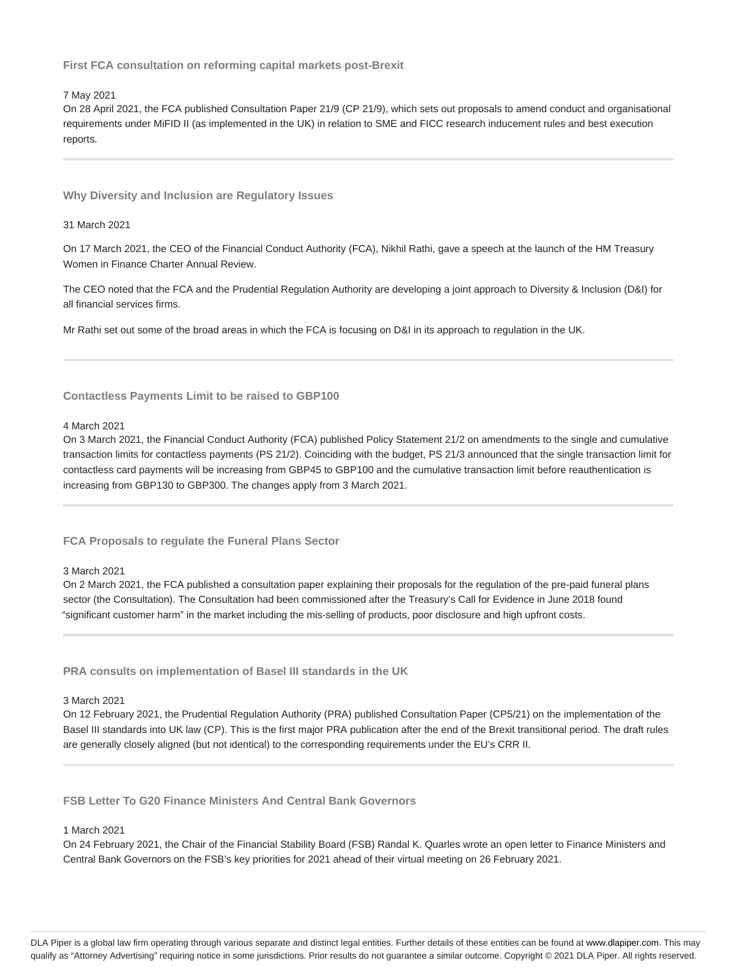**First FCA consultation on reforming capital markets post-Brexit**

7 May 2021

On 28 April 2021, the FCA published Consultation Paper 21/9 (CP 21/9), which sets out proposals to amend conduct and organisational requirements under MiFID II (as implemented in the UK) in relation to SME and FICC research inducement rules and best execution reports.

**Why Diversity and Inclusion are Regulatory Issues**

31 March 2021

On 17 March 2021, the CEO of the Financial Conduct Authority (FCA), Nikhil Rathi, gave a speech at the launch of the HM Treasury Women in Finance Charter Annual Review.

The CEO noted that the FCA and the Prudential Regulation Authority are developing a joint approach to Diversity & Inclusion (D&I) for all financial services firms.

Mr Rathi set out some of the broad areas in which the FCA is focusing on D&I in its approach to regulation in the UK.

#### **Contactless Payments Limit to be raised to GBP100**

#### 4 March 2021

On 3 March 2021, the Financial Conduct Authority (FCA) published Policy Statement 21/2 on amendments to the single and cumulative transaction limits for contactless payments (PS 21/2). Coinciding with the budget, PS 21/3 announced that the single transaction limit for contactless card payments will be increasing from GBP45 to GBP100 and the cumulative transaction limit before reauthentication is increasing from GBP130 to GBP300. The changes apply from 3 March 2021.

**FCA Proposals to regulate the Funeral Plans Sector**

## 3 March 2021

On 2 March 2021, the FCA published a consultation paper explaining their proposals for the regulation of the pre-paid funeral plans sector (the Consultation). The Consultation had been commissioned after the Treasury's Call for Evidence in June 2018 found "significant customer harm" in the market including the mis-selling of products, poor disclosure and high upfront costs.

**PRA consults on implementation of Basel III standards in the UK**

## 3 March 2021

On 12 February 2021, the Prudential Regulation Authority (PRA) published Consultation Paper (CP5/21) on the implementation of the Basel III standards into UK law (CP). This is the first major PRA publication after the end of the Brexit transitional period. The draft rules are generally closely aligned (but not identical) to the corresponding requirements under the EU's CRR II.

**FSB Letter To G20 Finance Ministers And Central Bank Governors**

#### 1 March 2021

On 24 February 2021, the Chair of the Financial Stability Board (FSB) Randal K. Quarles wrote an open letter to Finance Ministers and Central Bank Governors on the FSB's key priorities for 2021 ahead of their virtual meeting on 26 February 2021.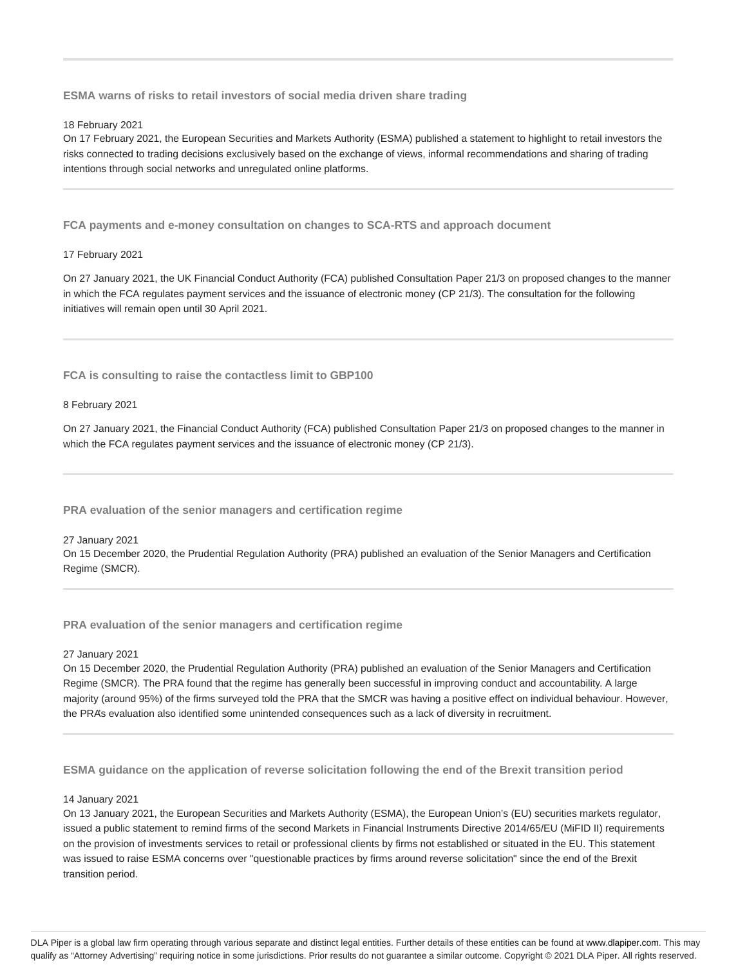**ESMA warns of risks to retail investors of social media driven share trading**

#### 18 February 2021

On 17 February 2021, the European Securities and Markets Authority (ESMA) published a statement to highlight to retail investors the risks connected to trading decisions exclusively based on the exchange of views, informal recommendations and sharing of trading intentions through social networks and unregulated online platforms.

**FCA payments and e-money consultation on changes to SCA-RTS and approach document**

#### 17 February 2021

On 27 January 2021, the UK Financial Conduct Authority (FCA) published Consultation Paper 21/3 on proposed changes to the manner in which the FCA regulates payment services and the issuance of electronic money (CP 21/3). The consultation for the following initiatives will remain open until 30 April 2021.

**FCA is consulting to raise the contactless limit to GBP100**

#### 8 February 2021

On 27 January 2021, the Financial Conduct Authority (FCA) published Consultation Paper 21/3 on proposed changes to the manner in which the FCA regulates payment services and the issuance of electronic money (CP 21/3).

**PRA evaluation of the senior managers and certification regime**

## 27 January 2021 On 15 December 2020, the Prudential Regulation Authority (PRA) published an evaluation of the Senior Managers and Certification Regime (SMCR).

#### **PRA evaluation of the senior managers and certification regime**

#### 27 January 2021

On 15 December 2020, the Prudential Regulation Authority (PRA) published an evaluation of the Senior Managers and Certification Regime (SMCR). The PRA found that the regime has generally been successful in improving conduct and accountability. A large majority (around 95%) of the firms surveyed told the PRA that the SMCR was having a positive effect on individual behaviour. However, the PRA's evaluation also identified some unintended consequences such as a lack of diversity in recruitment.

**ESMA guidance on the application of reverse solicitation following the end of the Brexit transition period**

### 14 January 2021

On 13 January 2021, the European Securities and Markets Authority (ESMA), the European Union's (EU) securities markets regulator, issued a public statement to remind firms of the second Markets in Financial Instruments Directive 2014/65/EU (MiFID II) requirements on the provision of investments services to retail or professional clients by firms not established or situated in the EU. This statement was issued to raise ESMA concerns over "questionable practices by firms around reverse solicitation" since the end of the Brexit transition period.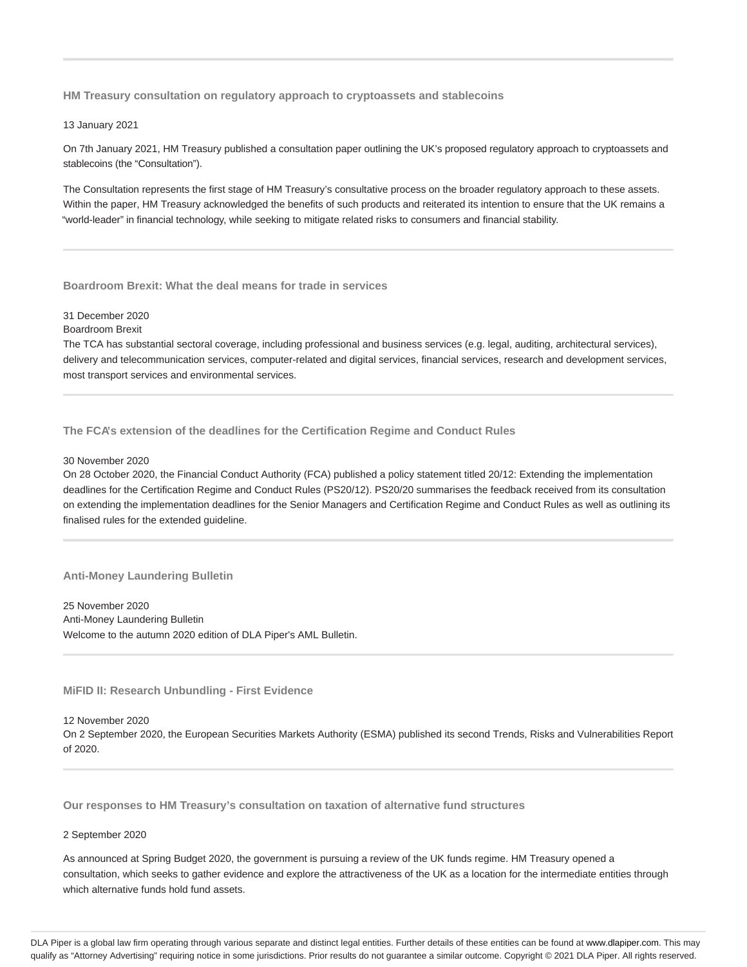**HM Treasury consultation on regulatory approach to cryptoassets and stablecoins**

#### 13 January 2021

On 7th January 2021, HM Treasury published a consultation paper outlining the UK's proposed regulatory approach to cryptoassets and stablecoins (the "Consultation").

The Consultation represents the first stage of HM Treasury's consultative process on the broader regulatory approach to these assets. Within the paper, HM Treasury acknowledged the benefits of such products and reiterated its intention to ensure that the UK remains a "world-leader" in financial technology, while seeking to mitigate related risks to consumers and financial stability.

#### **Boardroom Brexit: What the deal means for trade in services**

## 31 December 2020

Boardroom Brexit

The TCA has substantial sectoral coverage, including professional and business services (e.g. legal, auditing, architectural services), delivery and telecommunication services, computer-related and digital services, financial services, research and development services, most transport services and environmental services.

**The FCA's extension of the deadlines for the Certification Regime and Conduct Rules**

#### 30 November 2020

On 28 October 2020, the Financial Conduct Authority (FCA) published a policy statement titled 20/12: Extending the implementation deadlines for the Certification Regime and Conduct Rules (PS20/12). PS20/20 summarises the feedback received from its consultation on extending the implementation deadlines for the Senior Managers and Certification Regime and Conduct Rules as well as outlining its finalised rules for the extended guideline.

## **Anti-Money Laundering Bulletin**

25 November 2020 Anti-Money Laundering Bulletin Welcome to the autumn 2020 edition of DLA Piper's AML Bulletin.

## **MiFID II: Research Unbundling - First Evidence**

12 November 2020 On 2 September 2020, the European Securities Markets Authority (ESMA) published its second Trends, Risks and Vulnerabilities Report of 2020.

**Our responses to HM Treasury's consultation on taxation of alternative fund structures**

#### 2 September 2020

As announced at Spring Budget 2020, the government is pursuing a review of the UK funds regime. HM Treasury opened a consultation, which seeks to gather evidence and explore the attractiveness of the UK as a location for the intermediate entities through which alternative funds hold fund assets.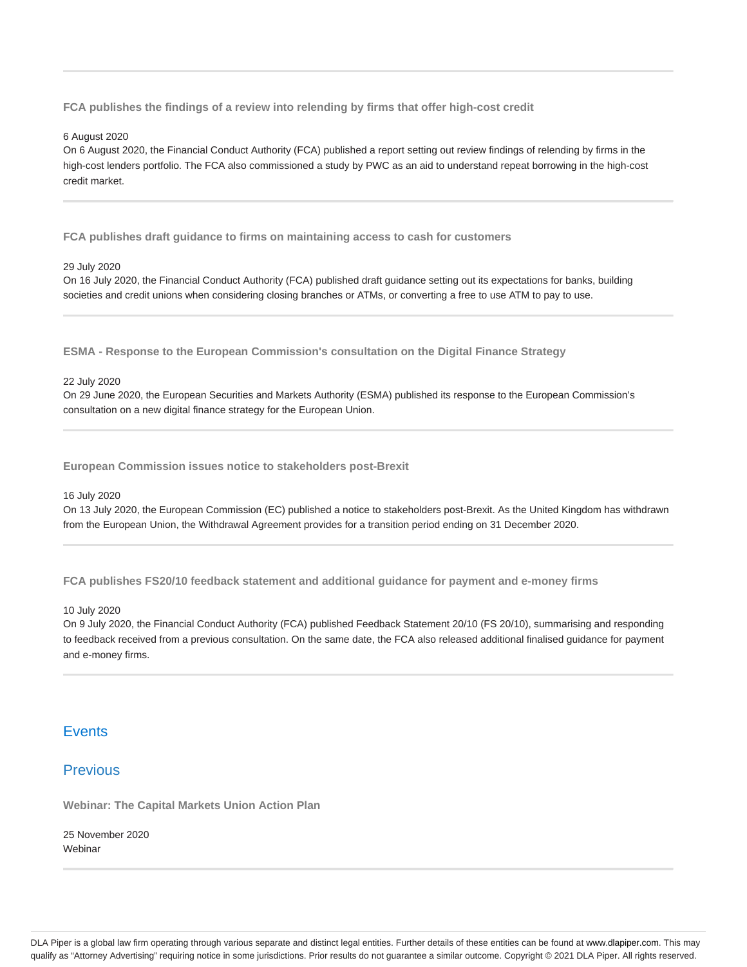**FCA publishes the findings of a review into relending by firms that offer high-cost credit**

#### 6 August 2020

On 6 August 2020, the Financial Conduct Authority (FCA) published a report setting out review findings of relending by firms in the high-cost lenders portfolio. The FCA also commissioned a study by PWC as an aid to understand repeat borrowing in the high-cost credit market.

**FCA publishes draft guidance to firms on maintaining access to cash for customers**

#### 29 July 2020

On 16 July 2020, the Financial Conduct Authority (FCA) published draft guidance setting out its expectations for banks, building societies and credit unions when considering closing branches or ATMs, or converting a free to use ATM to pay to use.

**ESMA - Response to the European Commission's consultation on the Digital Finance Strategy**

### 22 July 2020

On 29 June 2020, the European Securities and Markets Authority (ESMA) published its response to the European Commission's consultation on a new digital finance strategy for the European Union.

**European Commission issues notice to stakeholders post-Brexit**

16 July 2020

On 13 July 2020, the European Commission (EC) published a notice to stakeholders post-Brexit. As the United Kingdom has withdrawn from the European Union, the Withdrawal Agreement provides for a transition period ending on 31 December 2020.

**FCA publishes FS20/10 feedback statement and additional guidance for payment and e-money firms**

10 July 2020

On 9 July 2020, the Financial Conduct Authority (FCA) published Feedback Statement 20/10 (FS 20/10), summarising and responding to feedback received from a previous consultation. On the same date, the FCA also released additional finalised guidance for payment and e-money firms.

# **Events**

# **Previous**

**Webinar: The Capital Markets Union Action Plan**

25 November 2020 **Webinar**